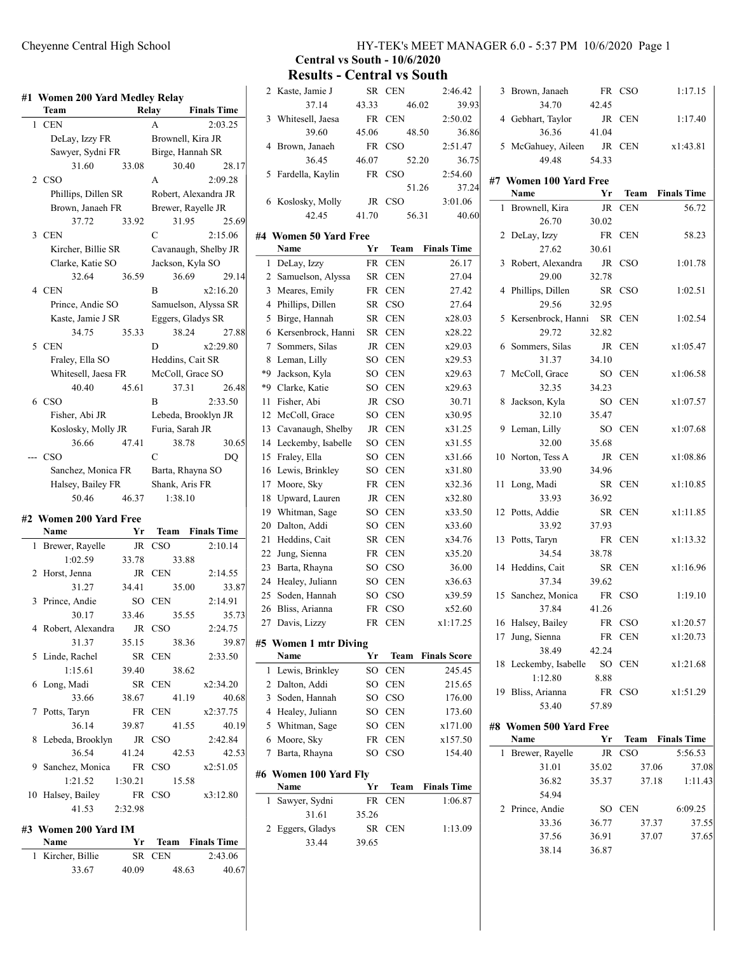|   | Team                   |         | Relay            | <b>Finals Time</b>   |
|---|------------------------|---------|------------------|----------------------|
|   | 1 CEN                  |         | A                | 2:03.25              |
|   | DeLay, Izzy FR         |         |                  | Brownell, Kira JR    |
|   | Sawyer, Sydni FR       |         |                  | Birge, Hannah SR     |
|   | 31.60                  | 33.08   | 30.40            | 28.17                |
|   | 2 CSO                  |         | A                | 2:09.28              |
|   | Phillips, Dillen SR    |         |                  | Robert, Alexandra JR |
|   | Brown, Janaeh FR       |         |                  | Brewer, Rayelle JR   |
|   | 37.72                  | 33.92   | 31.95            | 25.69                |
|   | 3 CEN                  |         | Ċ                | 2:15.06              |
|   | Kircher, Billie SR     |         |                  | Cavanaugh, Shelby JR |
|   | Clarke, Katie SO       |         | Jackson, Kyla SO |                      |
|   | 32.64                  | 36.59   | 36.69            | 29.14                |
|   | 4 CEN                  |         | B                | x2:16.20             |
|   | Prince, Andie SO       |         |                  | Samuelson, Alyssa SR |
|   | Kaste, Jamie J SR      |         |                  | Eggers, Gladys SR    |
|   | 34.75                  | 35.33   | 38.24            | 27.88                |
|   | 5 CEN                  |         | D                | x2:29.80             |
|   | Fraley, Ella SO        |         | Heddins, Cait SR |                      |
|   | Whitesell, Jaesa FR    |         |                  | McColl, Grace SO     |
|   | 40.40                  | 45.61   | 37.31            | 26.48                |
|   | 6 CSO                  |         | B                | 2:33.50              |
|   | Fisher, Abi JR         |         |                  | Lebeda, Brooklyn JR  |
|   | Koslosky, Molly JR     |         | Furia, Sarah JR  |                      |
|   | 36.66                  | 47.41   | 38.78            | 30.65                |
|   | --- CSO                |         | C                | DQ                   |
|   | Sanchez, Monica FR     |         | Barta, Rhayna SO |                      |
|   |                        |         |                  |                      |
|   | Halsey, Bailey FR      |         | Shank, Aris FR   |                      |
|   | 50.46                  | 46.37   | 1:38.10          |                      |
|   | #2 Women 200 Yard Free |         |                  |                      |
|   | Name                   | Yr      | Team             | <b>Finals Time</b>   |
| 1 | Brewer, Rayelle        | JR      | <b>CSO</b>       | 2:10.14              |
|   | 1:02.59                | 33.78   | 33.88            |                      |
|   | 2 Horst, Jenna         |         | JR CEN           | 2:14.55              |
|   | 31.27                  | 34.41   | 35.00            |                      |
| 3 | Prince, Andie          | SO -    | <b>CEN</b>       | 2:14.91              |
|   | 30.17                  | 33.46   | 35.55            | 33.87<br>35.73       |
| 4 | Robert, Alexandra      | JR      | CSO              | 2:24.75              |
|   | 31.37                  | 35.15   | 38.36            | 39.87                |
| 5 | Linde, Rachel          | SR      | CEN              | 2:33.50              |
|   | 1:15.61                | 39.40   | 38.62            |                      |
| 6 | Long, Madi             | SR      | <b>CEN</b>       | x2:34.20             |
|   | 33.66                  | 38.67   | 41.19            |                      |
| 7 | Potts, Taryn           | FR      | <b>CEN</b>       | 40.68<br>x2:37.75    |
|   | 36.14                  | 39.87   | 41.55            | 40.19                |
| 8 | Lebeda, Brooklyn       | JR      | <b>CSO</b>       | 2:42.84              |
|   | 36.54                  | 41.24   | 42.53            |                      |
|   | 9 Sanchez, Monica      | FR      | CSO              | x2:51.05             |
|   | 1:21.52                | 1:30.21 | 15.58            | 42.53                |
|   | 10 Halsey, Bailey      | FR      | CSO              | x3:12.80             |

### #3 Women 200 Yard IM

| <b>Name</b>       | Yr.   |        | <b>Team</b> Finals Time |
|-------------------|-------|--------|-------------------------|
| 1 Kircher, Billie |       | SR CEN | 2:43.06                 |
| 33.67             | 40.09 | 48.63  | 40.67                   |

## Cheyenne Central High School HY-TEK's MEET MANAGER 6.0 - 5:37 PM 10/6/2020 Page 1

# Central vs South - 10/6/2020

Results - Central vs South

| 2    | Kaste, Jamie J            | <b>SR</b> | <b>CEN</b> | 2:46.42             |
|------|---------------------------|-----------|------------|---------------------|
|      | 37.14                     | 43.33     |            | 39.93<br>46.02      |
| 3    | Whitesell, Jaesa          | FR        | <b>CEN</b> | 2:50.02             |
|      | 39.60                     | 45.06     |            | 48.50<br>36.86      |
| 4    | Brown, Janaeh             | FR        | CSO        | 2:51.47             |
|      | 36.45                     | 46.07     |            | 36.75<br>52.20      |
| 5    | Fardella, Kaylin          | FR        | CSO        | 2:54.60             |
|      |                           |           |            | 51.26<br>37.24      |
| 6    | Koslosky, Molly           | JR        | CSO        | 3:01.06             |
|      | 42.45                     | 41.70     |            | 56.31<br>40.60      |
|      |                           |           |            |                     |
| #4   | <b>Women 50 Yard Free</b> |           |            |                     |
|      | Name                      | Yr        | Team       | <b>Finals Time</b>  |
| 1    | DeLay, Izzy               | FR        | <b>CEN</b> | 26.17               |
| 2    | Samuelson, Alyssa         | SR        | CEN        | 27.04               |
| 3    | Meares, Emily             | FR        | <b>CEN</b> | 27.42               |
| 4    | Phillips, Dillen          | SR        | CSO        | 27.64               |
| 5    | Birge, Hannah             | SR        | <b>CEN</b> | x28.03              |
| 6    | Kersenbrock, Hanni        | <b>SR</b> | <b>CEN</b> | x28.22              |
| 7    | Sommers, Silas            | JR        | CEN        | x29.03              |
| 8    | Leman, Lilly              | SO        | CEN        | x29.53              |
| $*9$ | Jackson, Kyla             | SO        | <b>CEN</b> | x29.63              |
| *9   | Clarke, Katie             | SO        | <b>CEN</b> | x29.63              |
| 11   | Fisher, Abi               | JR        | CSO        | 30.71               |
| 12   | McColl, Grace             | SO        | <b>CEN</b> | x30.95              |
| 13   | Cavanaugh, Shelby         | JR        | CEN        | x31.25              |
| 14   | Leckemby, Isabelle        | SO        | CEN        | x31.55              |
| 15   | Fraley, Ella              | SO        | <b>CEN</b> | x31.66              |
| 16   | Lewis, Brinkley           | SO        | <b>CEN</b> | x31.80              |
| 17   | Moore, Sky                | FR        | <b>CEN</b> | x32.36              |
| 18   | Upward, Lauren            | JR        | <b>CEN</b> | x32.80              |
| 19   | Whitman, Sage             | SO        | <b>CEN</b> | x33.50              |
| 20   | Dalton, Addi              | SO        | <b>CEN</b> | x33.60              |
| 21   | Heddins, Cait             | <b>SR</b> | <b>CEN</b> | x34.76              |
| 22   | Jung, Sienna              | FR        | <b>CEN</b> | x35.20              |
| 23   | Barta, Rhayna             | SO        | CSO        | 36.00               |
| 24   | Healey, Juliann           | SO        | <b>CEN</b> | x36.63              |
| 25   | Soden, Hannah             | SO        | CSO        | x39.59              |
| 26   | Bliss, Arianna            | FR        | CSO        | x52.60              |
|      | 27 Davis, Lizzy           | FR        | CEN        | x1:17.25            |
|      |                           |           |            |                     |
|      | #5 Women 1 mtr Diving     |           |            |                     |
|      | Name                      | Yr        | Team       | <b>Finals Score</b> |
| 1    | Lewis, Brinkley           | SO        | <b>CEN</b> | 245.45              |
| 2    | Dalton, Addi              | SO        | <b>CEN</b> | 215.65              |
| 3    | Soden, Hannah             | SO        | CSO        | 176.00              |
|      | 4 Healey, Juliann         | SO        | <b>CEN</b> | 173.60              |
| 5    | Whitman, Sage             | SO        | <b>CEN</b> | x171.00             |
| 6    | Moore, Sky                | FR        | CEN        | x157.50             |
| 7    | Barta, Rhayna             | SO        | CSO        | 154.40              |
|      | #6 Women 100 Yard Fly     |           |            |                     |
|      | Name                      | Yr        | Team       | <b>Finals Time</b>  |
| 1    | Sawyer, Sydni             | FR        | <b>CEN</b> | 1:06.87             |
|      | 31.61                     | 35.26     |            |                     |
| 2    | Eggers, Gladys            | SR        | <b>CEN</b> | 1:13.09             |
|      | 33.44                     | 39.65     |            |                     |
|      |                           |           |            |                     |

| 3  | Brown, Janaeh<br>34.70         | FR<br>42.45 | <b>CSO</b> | 1:17.15            |
|----|--------------------------------|-------------|------------|--------------------|
| 4  | Gebhart, Taylor                | JR          | <b>CEN</b> | 1:17.40            |
| 5  | 36.36<br>McGahuey, Aileen      | 41.04<br>JR | <b>CEN</b> | x1:43.81           |
|    | 49.48                          | 54.33       |            |                    |
|    | #7 Women 100 Yard Free<br>Name | Yr          |            | Team Finals Time   |
| 1  | Brownell, Kira                 | JR          | <b>CEN</b> | 56.72              |
|    | 26.70                          | 30.02       |            |                    |
| 2  | DeLay, Izzy                    | <b>FR</b>   | <b>CEN</b> | 58.23              |
|    | 27.62                          | 30.61       |            |                    |
| 3  | Robert, Alexandra              | JR          | CSO        | 1:01.78            |
|    | 29.00                          | 32.78       |            |                    |
| 4  | Phillips, Dillen<br>29.56      | SR<br>32.95 | <b>CSO</b> | 1:02.51            |
| 5  | Kersenbrock, Hanni SR          |             | <b>CEN</b> | 1:02.54            |
|    | 29.72                          | 32.82       |            |                    |
| 6  | Sommers, Silas                 | JR          | <b>CEN</b> | x1:05.47           |
|    | 31.37                          | 34.10       |            |                    |
| 7  | McColl, Grace                  | SO.         | <b>CEN</b> | x1:06.58           |
|    | 32.35                          | 34.23       |            |                    |
| 8  | Jackson, Kyla                  | SO-         | <b>CEN</b> | x1:07.57           |
|    | 32.10                          | 35.47       |            |                    |
| 9  | Leman, Lilly                   | SO.         | <b>CEN</b> | x1:07.68           |
|    | 32.00                          | 35.68       |            |                    |
| 10 | Norton, Tess A                 | JR          | <b>CEN</b> | x1:08.86           |
| 11 | 33.90<br>Long, Madi            | 34.96<br>SR | <b>CEN</b> | x1:10.85           |
|    | 33.93                          | 36.92       |            |                    |
| 12 | Potts, Addie                   | <b>SR</b>   | <b>CEN</b> | x1:11.85           |
|    | 33.92                          | 37.93       |            |                    |
| 13 | Potts, Taryn                   | FR          | <b>CEN</b> | x1:13.32           |
|    | 34.54                          | 38.78       |            |                    |
| 14 | Heddins, Cait                  | SR          | <b>CEN</b> | x1:16.96           |
|    | 37.34                          | 39.62       |            |                    |
|    | 15 Sanchez, Monica             | FR          | <b>CSO</b> | 1:19.10            |
|    | 37.84                          | 41.26       |            |                    |
|    | 16 Halsey, Bailey              |             | FR CSO     | x1:20.57           |
|    | 17 Jung, Sienna                |             | FR CEN     | x1:20.73           |
| 18 | 38.49                          | 42.24       |            |                    |
|    | Leckemby, Isabelle<br>1:12.80  | SO<br>8.88  | <b>CEN</b> | x1:21.68           |
|    | 19 Bliss, Arianna              | FR          | <b>CSO</b> | x1:51.29           |
|    | 53.40                          | 57.89       |            |                    |
|    |                                |             |            |                    |
|    | #8 Women 500 Yard Free<br>Name | Yr          | Team       | <b>Finals Time</b> |
|    |                                |             |            |                    |

| ivame             | Y r   | ream       | <b>Finals Time</b> |
|-------------------|-------|------------|--------------------|
| 1 Brewer, Rayelle | JR    | <b>CSO</b> | 5:56.53            |
| 31.01             | 35.02 | 37.06      | 37.08              |
| 36.82             | 35.37 | 37.18      | 1:11.43            |
| 54.94             |       |            |                    |
| 2 Prince, Andie   | SО    | <b>CEN</b> | 6:09.25            |
| 33.36             | 36.77 | 37.37      | 37.55              |
| 37.56             | 36.91 | 37.07      | 37.65              |
| 38.14             | 36.87 |            |                    |
|                   |       |            |                    |